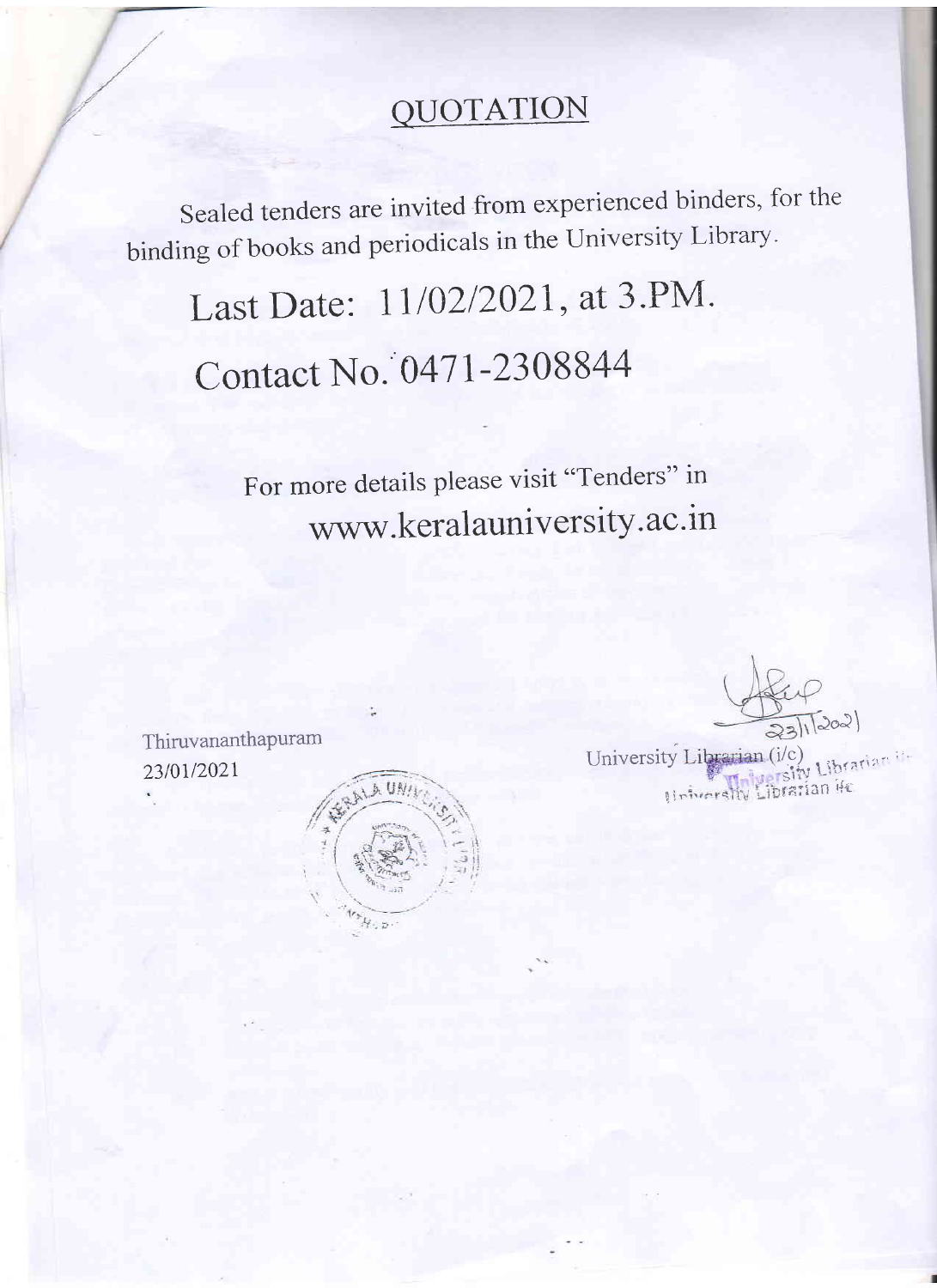## QUOTATION

Sealed tenders are invited from experienced binders, for the binding of books and periodicals in the University Library.

Last Date: 11/02/2021, at 3.PM. Contact No. 0471-2308844

> For more details please visit "Tenders" in www.keralauniversity.ac.in

Thiruvananthapuram 23/01/2021



University Librarian (i/c) Helvershy Librarian it-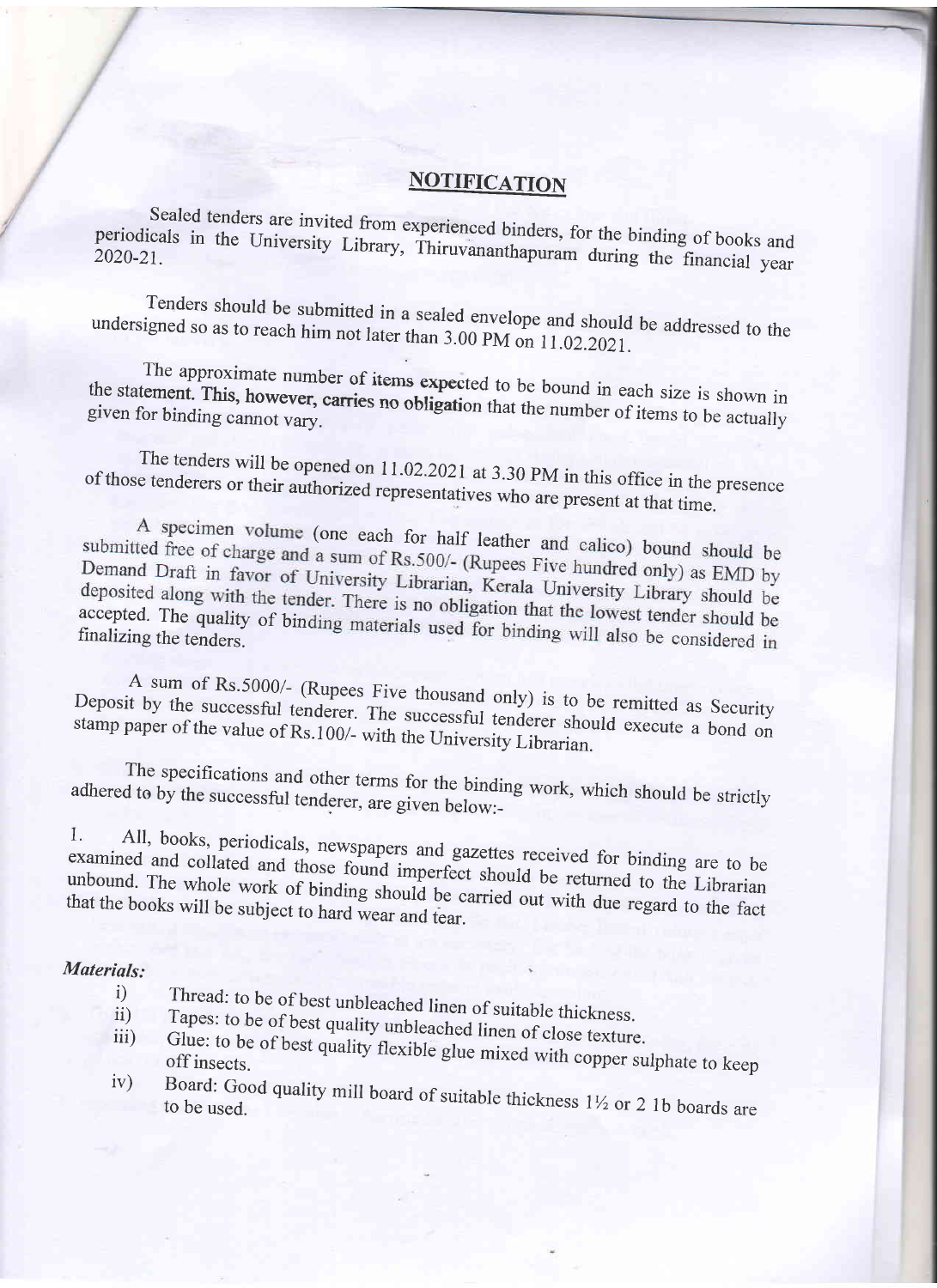## **NOTIFICATION**

Sealed tenders are invited from experienced binders, for the binding of books and periodicals in the University Library, Thiruvananthapuram during the financial year

Tenders should be submitted in a sealed envelope and should be addressed to the undersigned so as to reach him not later than 3.00 PM on 11.02.2021.

The approximate number of items expected to be bound in each size is shown in the statement. This, however, carries no obligation that the number of items to be actually given for binding cannot vary.

The tenders will be opened on 11.02.2021 at 3.30 PM in this office in the presence of those tenderers or their authorized representatives who are present at that time.

A specimen volume (one each for half leather and calico) bound should be submitted free of charge and a sum of Rs.500/- (Rupees Five hundred only) as EMD by Demand Draft in favor of University Librarian, Kerala University Library should be deposited along with the tender. There is no obligation that the lowest tender should be accepted. The quality of binding materials used for binding will also be considered in

A sum of Rs.5000/- (Rupees Five thousand only) is to be remitted as Security Deposit by the successful tenderer. The successful tenderer should execute a bond on stamp paper of the value of Rs.100/- with the University Librarian.

The specifications and other terms for the binding work, which should be strictly adhered to by the successful tenderer, are given below:-

All, books, periodicals, newspapers and gazettes received for binding are to be  $\mathbf{I}$ . examined and collated and those found imperfect should be returned to the Librarian unbound. The whole work of binding should be carried out with due regard to the fact that the books will be subject to hard wear and tear.

## Materials:

- Thread: to be of best unbleached linen of suitable thickness.  $i)$  $ii)$
- Tapes: to be of best quality unbleached linen of close texture.  $iii)$
- Glue: to be of best quality flexible glue mixed with copper sulphate to keep  $iv)$
- Board: Good quality mill board of suitable thickness 11/2 or 2 1b boards are to be used.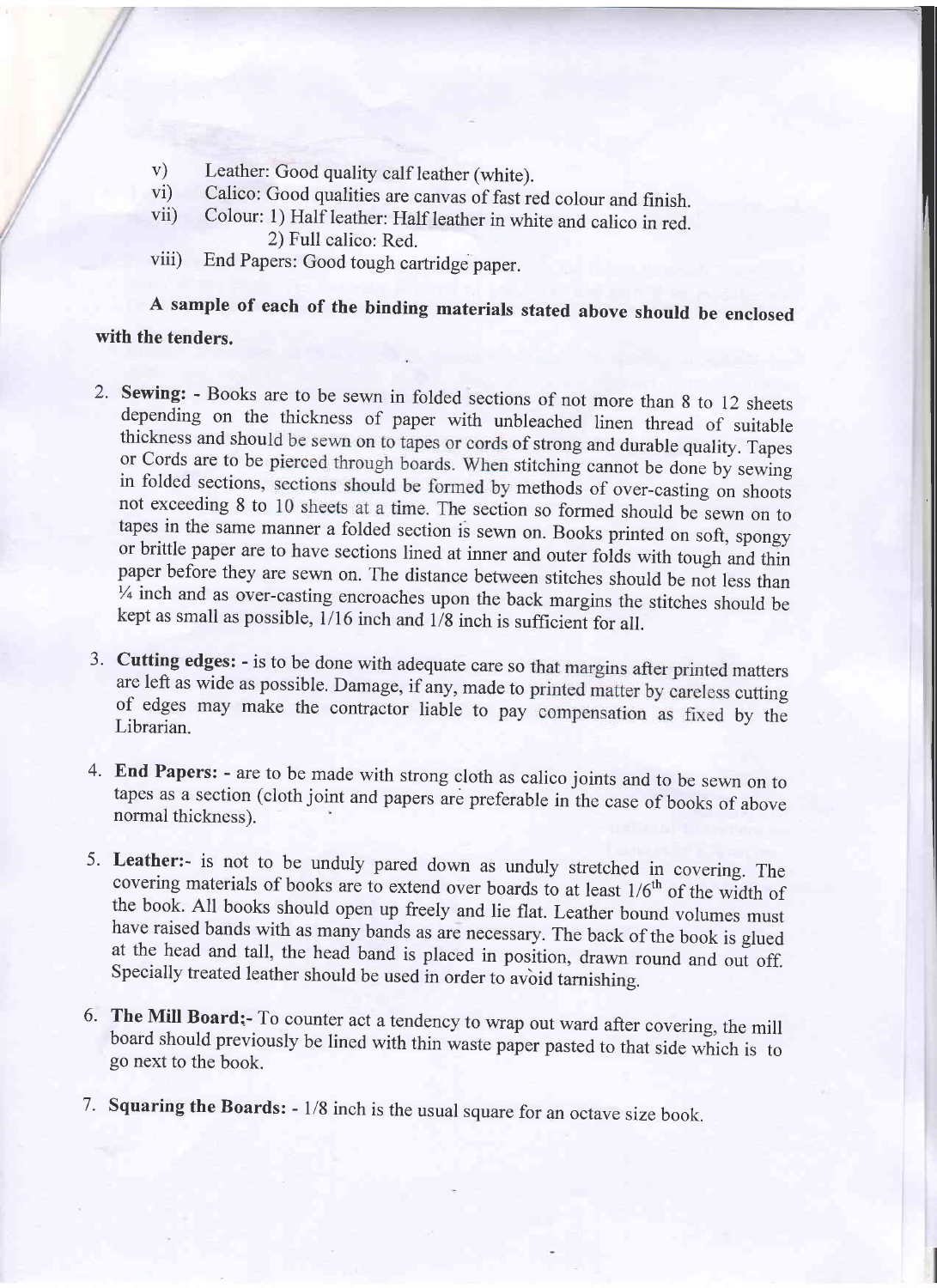- 
- 
- v) Leather: Good quality calf leather (white).<br>vi) Calico: Good qualities are canvas of fast red colour and finish.<br>vii) Colour: 1) Half leather: Half leather in white and calico in red.<br>2) Full calico: Red.
- viii) End Papers: Good tough cartridge paper.

A sample of each of the binding materials stated above should be enclosed with the tenders.

- 2. Sewing: Books are to be sewn in folded sections of not more than 8 to 12 sheets depending on the thickness of paper with unbleached linen thread of suitable thickness and should be sewn on to tapes or cords of strong or Cords are to be pierced through boards. When stitching cannot be done by sewing<br>in folded sections, sections should be formed by methods of over-casting on shoots<br>not exceeding 8 to 10 sheets at a time. The section so f or brittle paper are to have sections lined at inner and outer folds with tough and thin paper before they are sewn on. The distance between stitches should be not less than  $\frac{1}{4}$  inch and as over-casting encroaches upon the back margins the stitches should be kept as small as possible,  $1/16$  inch and  $1/8$  inch is sufficient for all.
- are left as wide as possible. Damage, if any, made to printed matter by careless cutting of edges may make the contractor liable to pay compensation as fixed by the Librarian. a J.
- 4. End Papers: are to be made with strong cloth as calico joints and to be sewn on to tapes as a section (cloth joint and papers are preferable in the case of books of above normal thickness)
- 5. Leather:- is not to be unduly pared down as unduly stretched in covering. The covering materials of books are to extend over boards to at least  $1/6<sup>th</sup>$  of the width of the book. All books should open up freely and
- 6. The Mill Board: To counter act a tendency to wrap out ward after covering, the mill board should previously be lined with thin waste paper pasted to that side which is to go next to the book.
- 7. Squaring the Boards: 1/8 inch is the usual square for an octave size book.